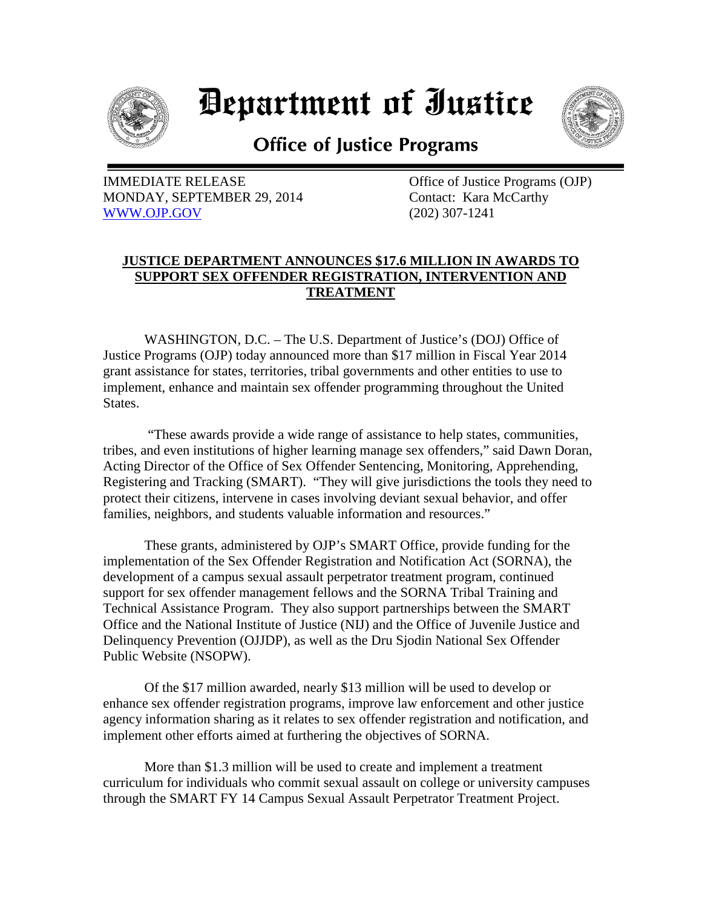

## *Department of Iustice*



**Office of Justice Programs** 

IMMEDIATE RELEASE **Office** of Justice Programs (OJP) MONDAY, SEPTEMBER 29, 2014 Contact: Kara McCarthy [WWW.OJP.GOV](http://www.ojp.gov/) (202) 307-1241

## **JUSTICE DEPARTMENT ANNOUNCES \$17.6 MILLION IN AWARDS TO SUPPORT SEX OFFENDER REGISTRATION, INTERVENTION AND TREATMENT**

WASHINGTON, D.C. – The U.S. Department of Justice's (DOJ) Office of Justice Programs (OJP) today announced more than \$17 million in Fiscal Year 2014 grant assistance for states, territories, tribal governments and other entities to use to implement, enhance and maintain sex offender programming throughout the United States.

"These awards provide a wide range of assistance to help states, communities, tribes, and even institutions of higher learning manage sex offenders," said Dawn Doran, Acting Director of the Office of Sex Offender Sentencing, Monitoring, Apprehending, Registering and Tracking (SMART). "They will give jurisdictions the tools they need to protect their citizens, intervene in cases involving deviant sexual behavior, and offer families, neighbors, and students valuable information and resources."

These grants, administered by OJP's SMART Office, provide funding for the implementation of the Sex Offender Registration and Notification Act (SORNA), the development of a campus sexual assault perpetrator treatment program, continued support for sex offender management fellows and the SORNA Tribal Training and Technical Assistance Program. They also support partnerships between the SMART Office and the National Institute of Justice (NIJ) and the Office of Juvenile Justice and Delinquency Prevention (OJJDP), as well as the Dru Sjodin National Sex Offender Public Website (NSOPW).

 Of the \$17 million awarded, nearly \$13 million will be used to develop or enhance sex offender registration programs, improve law enforcement and other justice agency information sharing as it relates to sex offender registration and notification, and implement other efforts aimed at furthering the objectives of SORNA.

More than \$1.3 million will be used to create and implement a treatment curriculum for individuals who commit sexual assault on college or university campuses through the SMART FY 14 Campus Sexual Assault Perpetrator Treatment Project.